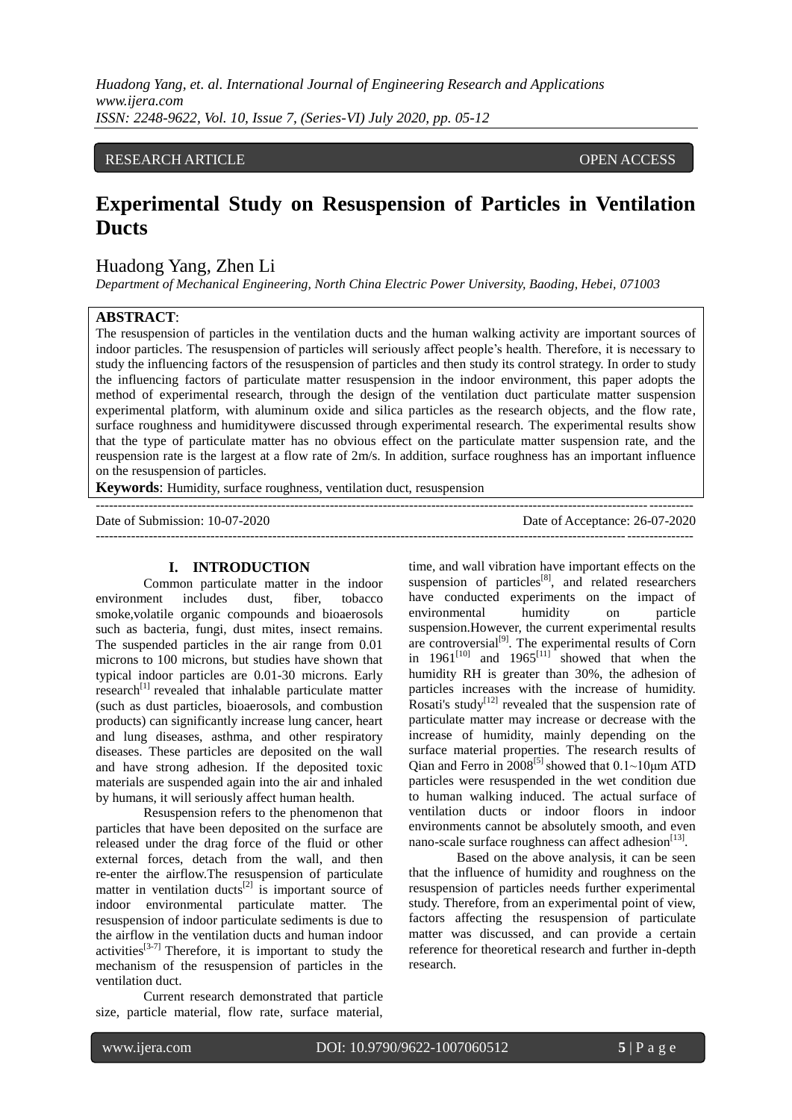## RESEARCH ARTICLE OPEN ACCESS

# **Experimental Study on Resuspension of Particles in Ventilation Ducts**

## Huadong Yang, Zhen Li

*Department of Mechanical Engineering, North China Electric Power University, Baoding, Hebei, 071003*

#### **ABSTRACT**:

The resuspension of particles in the ventilation ducts and the human walking activity are important sources of indoor particles. The resuspension of particles will seriously affect people's health. Therefore, it is necessary to study the influencing factors of the resuspension of particles and then study its control strategy. In order to study the influencing factors of particulate matter resuspension in the indoor environment, this paper adopts the method of experimental research, through the design of the ventilation duct particulate matter suspension experimental platform, with aluminum oxide and silica particles as the research objects, and the flow rate, surface roughness and humiditywere discussed through experimental research. The experimental results show that the type of particulate matter has no obvious effect on the particulate matter suspension rate, and the reuspension rate is the largest at a flow rate of 2m/s. In addition, surface roughness has an important influence on the resuspension of particles.

---------------------------------------------------------------------------------------------------------------------------------------

**Keywords**: Humidity, surface roughness, ventilation duct, resuspension

Date of Submission: 10-07-2020 Date of Acceptance: 26-07-2020  $-1\leq i\leq n-1$ 

#### **I. INTRODUCTION**

Common particulate matter in the indoor environment includes dust, fiber, tobacco smoke,volatile organic compounds and bioaerosols such as bacteria, fungi, dust mites, insect remains. The suspended particles in the air range from 0.01 microns to 100 microns, but studies have shown that typical indoor particles are 0.01-30 microns. Early research<sup>[1]</sup> revealed that inhalable particulate matter (such as dust particles, bioaerosols, and combustion products) can significantly increase lung cancer, heart and lung diseases, asthma, and other respiratory diseases. These particles are deposited on the wall and have strong adhesion. If the deposited toxic materials are suspended again into the air and inhaled by humans, it will seriously affect human health.

Resuspension refers to the phenomenon that particles that have been deposited on the surface are released under the drag force of the fluid or other external forces, detach from the wall, and then re-enter the airflow.The resuspension of particulate matter in ventilation ducts<sup>[2]</sup> is important source of indoor environmental particulate matter. The resuspension of indoor particulate sediments is due to the airflow in the ventilation ducts and human indoor activities $[3-7]$  Therefore, it is important to study the mechanism of the resuspension of particles in the ventilation duct.

Current research demonstrated that particle size, particle material, flow rate, surface material,

time, and wall vibration have important effects on the suspension of particles<sup>[8]</sup>, and related researchers have conducted experiments on the impact of environmental humidity on particle suspension.However, the current experimental results are controversial $^{[9]}$ . The experimental results of Corn in  $1961^{[10]}$  and  $1965^{[11]}$  showed that when the humidity RH is greater than 30%, the adhesion of particles increases with the increase of humidity. Rosati's study<sup>[12]</sup> revealed that the suspension rate of particulate matter may increase or decrease with the increase of humidity, mainly depending on the surface material properties. The research results of Oian and Ferro in  $2008^{5}$  showed that  $0.1 \sim 10 \mu m$  ATD particles were resuspended in the wet condition due to human walking induced. The actual surface of ventilation ducts or indoor floors in indoor environments cannot be absolutely smooth, and even nano-scale surface roughness can affect adhesion<sup>[13]</sup>.

Based on the above analysis, it can be seen that the influence of humidity and roughness on the resuspension of particles needs further experimental study. Therefore, from an experimental point of view, factors affecting the resuspension of particulate matter was discussed, and can provide a certain reference for theoretical research and further in-depth research.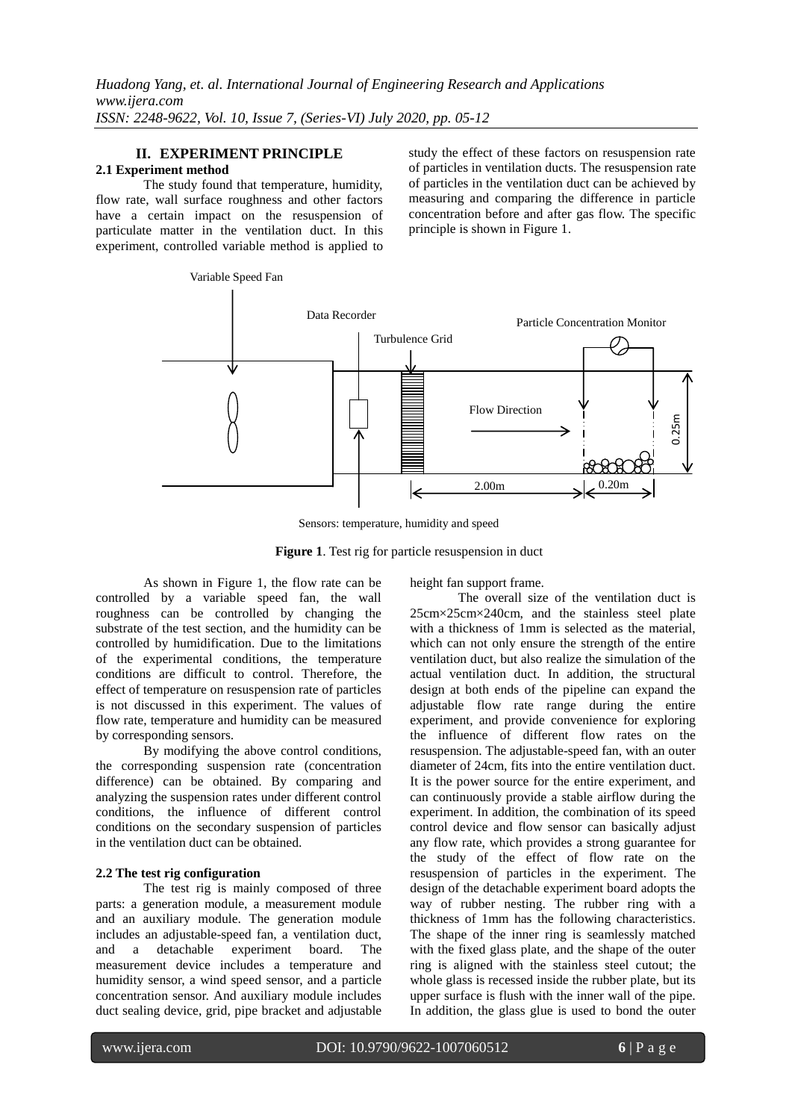# **II. EXPERIMENT PRINCIPLE**

## **2.1 Experiment method**

The study found that temperature, humidity, flow rate, wall surface roughness and other factors have a certain impact on the resuspension of particulate matter in the ventilation duct. In this experiment, controlled variable method is applied to

Variable Speed Fan

study the effect of these factors on resuspension rate of particles in ventilation ducts. The resuspension rate of particles in the ventilation duct can be achieved by measuring and comparing the difference in particle concentration before and after gas flow. The specific principle is shown in Figure 1.



Sensors: temperature, humidity and speed

**Figure 1**. Test rig for particle resuspension in duct

As shown in Figure 1, the flow rate can be controlled by a variable speed fan, the wall roughness can be controlled by changing the substrate of the test section, and the humidity can be controlled by humidification. Due to the limitations of the experimental conditions, the temperature conditions are difficult to control. Therefore, the effect of temperature on resuspension rate of particles is not discussed in this experiment. The values of flow rate, temperature and humidity can be measured by corresponding sensors.

By modifying the above control conditions, the corresponding suspension rate (concentration difference) can be obtained. By comparing and analyzing the suspension rates under different control conditions, the influence of different control conditions on the secondary suspension of particles in the ventilation duct can be obtained.

## **2.2 The test rig configuration**

The test rig is mainly composed of three parts: a generation module, a measurement module and an auxiliary module. The generation module includes an adjustable-speed fan, a ventilation duct, and a detachable experiment board. The measurement device includes a temperature and humidity sensor, a wind speed sensor, and a particle concentration sensor. And auxiliary module includes duct sealing device, grid, pipe bracket and adjustable height fan support frame.

The overall size of the ventilation duct is 25cm×25cm×240cm, and the stainless steel plate with a thickness of 1mm is selected as the material, which can not only ensure the strength of the entire ventilation duct, but also realize the simulation of the actual ventilation duct. In addition, the structural design at both ends of the pipeline can expand the adjustable flow rate range during the entire experiment, and provide convenience for exploring the influence of different flow rates on the resuspension. The adjustable-speed fan, with an outer diameter of 24cm, fits into the entire ventilation duct. It is the power source for the entire experiment, and can continuously provide a stable airflow during the experiment. In addition, the combination of its speed control device and flow sensor can basically adjust any flow rate, which provides a strong guarantee for the study of the effect of flow rate on the resuspension of particles in the experiment. The design of the detachable experiment board adopts the way of rubber nesting. The rubber ring with a thickness of 1mm has the following characteristics. The shape of the inner ring is seamlessly matched with the fixed glass plate, and the shape of the outer ring is aligned with the stainless steel cutout; the whole glass is recessed inside the rubber plate, but its upper surface is flush with the inner wall of the pipe. In addition, the glass glue is used to bond the outer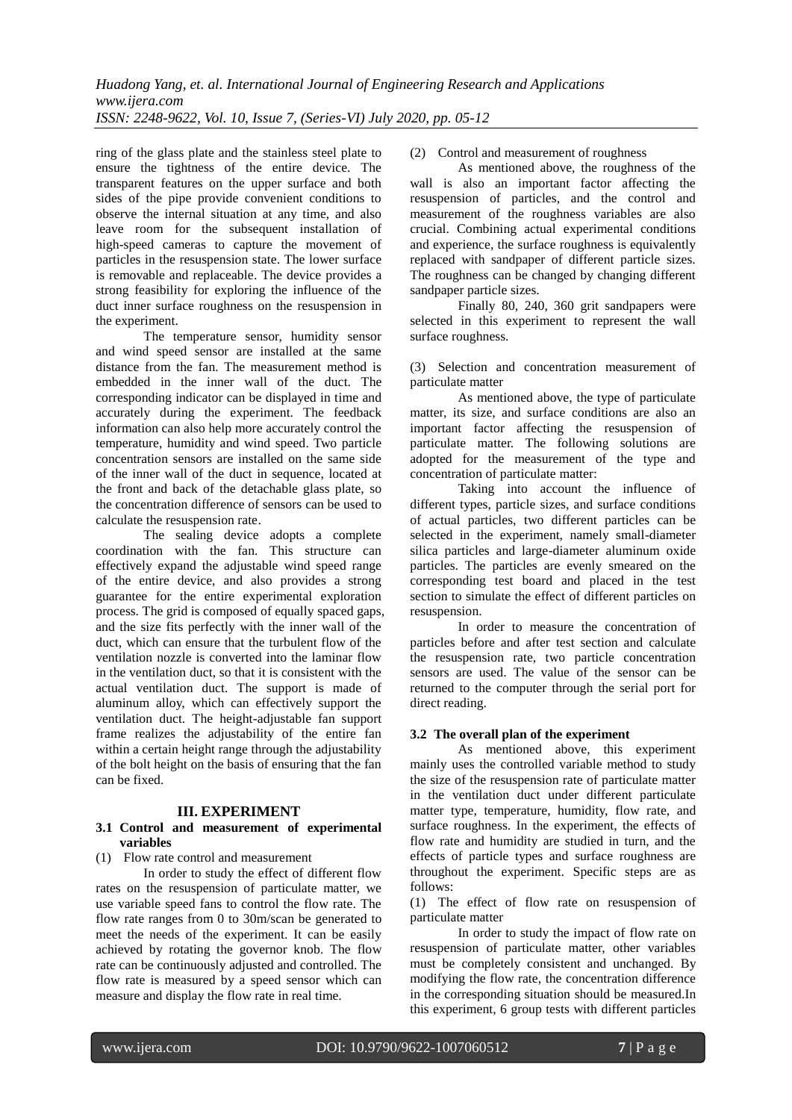ring of the glass plate and the stainless steel plate to ensure the tightness of the entire device. The transparent features on the upper surface and both sides of the pipe provide convenient conditions to observe the internal situation at any time, and also leave room for the subsequent installation of high-speed cameras to capture the movement of particles in the resuspension state. The lower surface is removable and replaceable. The device provides a strong feasibility for exploring the influence of the duct inner surface roughness on the resuspension in the experiment.

The temperature sensor, humidity sensor and wind speed sensor are installed at the same distance from the fan. The measurement method is embedded in the inner wall of the duct. The corresponding indicator can be displayed in time and accurately during the experiment. The feedback information can also help more accurately control the temperature, humidity and wind speed. Two particle concentration sensors are installed on the same side of the inner wall of the duct in sequence, located at the front and back of the detachable glass plate, so the concentration difference of sensors can be used to calculate the resuspension rate.

The sealing device adopts a complete coordination with the fan. This structure can effectively expand the adjustable wind speed range of the entire device, and also provides a strong guarantee for the entire experimental exploration process. The grid is composed of equally spaced gaps, and the size fits perfectly with the inner wall of the duct, which can ensure that the turbulent flow of the ventilation nozzle is converted into the laminar flow in the ventilation duct, so that it is consistent with the actual ventilation duct. The support is made of aluminum alloy, which can effectively support the ventilation duct. The height-adjustable fan support frame realizes the adjustability of the entire fan within a certain height range through the adjustability of the bolt height on the basis of ensuring that the fan can be fixed.

## **III. EXPERIMENT**

## **3.1 Control and measurement of experimental variables**

(1) Flow rate control and measurement

In order to study the effect of different flow rates on the resuspension of particulate matter, we use variable speed fans to control the flow rate. The flow rate ranges from 0 to 30m/scan be generated to meet the needs of the experiment. It can be easily achieved by rotating the governor knob. The flow rate can be continuously adjusted and controlled. The flow rate is measured by a speed sensor which can measure and display the flow rate in real time.

(2) Control and measurement of roughness

As mentioned above, the roughness of the wall is also an important factor affecting the resuspension of particles, and the control and measurement of the roughness variables are also crucial. Combining actual experimental conditions and experience, the surface roughness is equivalently replaced with sandpaper of different particle sizes. The roughness can be changed by changing different sandpaper particle sizes.

Finally 80, 240, 360 grit sandpapers were selected in this experiment to represent the wall surface roughness.

(3) Selection and concentration measurement of particulate matter

As mentioned above, the type of particulate matter, its size, and surface conditions are also an important factor affecting the resuspension of particulate matter. The following solutions are adopted for the measurement of the type and concentration of particulate matter:

Taking into account the influence of different types, particle sizes, and surface conditions of actual particles, two different particles can be selected in the experiment, namely small-diameter silica particles and large-diameter aluminum oxide particles. The particles are evenly smeared on the corresponding test board and placed in the test section to simulate the effect of different particles on resuspension.

In order to measure the concentration of particles before and after test section and calculate the resuspension rate, two particle concentration sensors are used. The value of the sensor can be returned to the computer through the serial port for direct reading.

# **3.2 The overall plan of the experiment**

As mentioned above, this experiment mainly uses the controlled variable method to study the size of the resuspension rate of particulate matter in the ventilation duct under different particulate matter type, temperature, humidity, flow rate, and surface roughness. In the experiment, the effects of flow rate and humidity are studied in turn, and the effects of particle types and surface roughness are throughout the experiment. Specific steps are as follows:

(1) The effect of flow rate on resuspension of particulate matter

In order to study the impact of flow rate on resuspension of particulate matter, other variables must be completely consistent and unchanged. By modifying the flow rate, the concentration difference in the corresponding situation should be measured.In this experiment, 6 group tests with different particles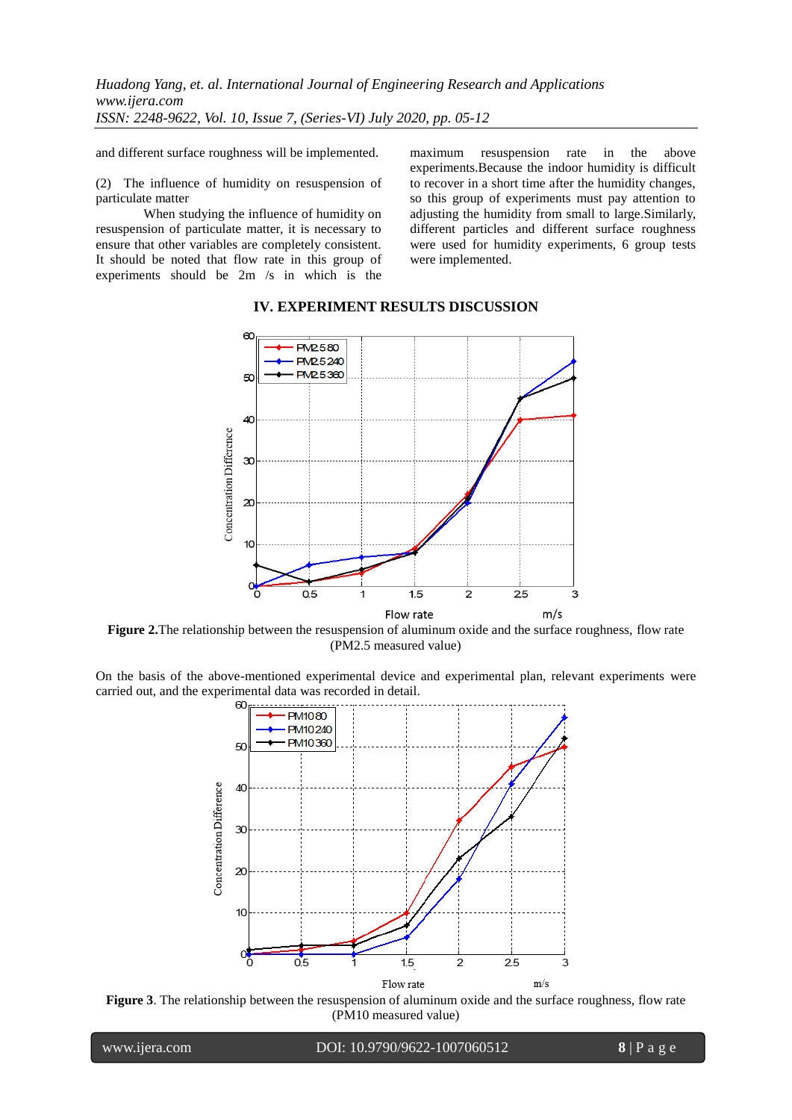and different surface roughness will be implemented.

(2) The influence of humidity on resuspension of particulate matter

When studying the influence of humidity on resuspension of particulate matter, it is necessary to ensure that other variables are completely consistent. It should be noted that flow rate in this group of experiments should be 2m /s in which is the maximum resuspension rate in the above experiments.Because the indoor humidity is difficult to recover in a short time after the humidity changes, so this group of experiments must pay attention to adjusting the humidity from small to large.Similarly, different particles and different surface roughness were used for humidity experiments, 6 group tests were implemented.



# **IV. EXPERIMENT RESULTS DISCUSSION**

**Figure 2.**The relationship between the resuspension of aluminum oxide and the surface roughness, flow rate (PM2.5 measured value)

On the basis of the above-mentioned experimental device and experimental plan, relevant experiments were carried out, and the experimental data was recorded in detail.



**Figure 3**. The relationship between the resuspension of aluminum oxide and the surface roughness, flow rate (PM10 measured value)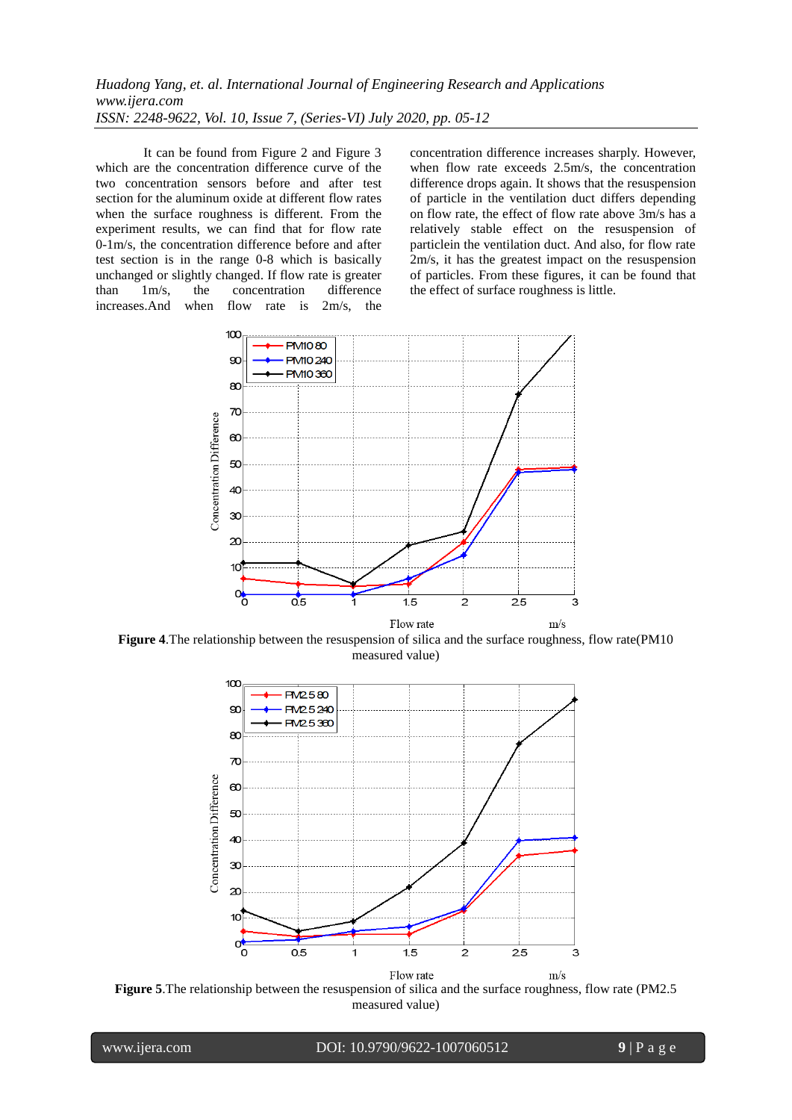It can be found from Figure 2 and Figure 3 which are the concentration difference curve of the two concentration sensors before and after test section for the aluminum oxide at different flow rates when the surface roughness is different. From the experiment results, we can find that for flow rate 0-1m/s, the concentration difference before and after test section is in the range 0-8 which is basically unchanged or slightly changed. If flow rate is greater than 1m/s, the concentration difference increases.And when flow rate is 2m/s, the concentration difference increases sharply. However, when flow rate exceeds 2.5m/s, the concentration difference drops again. It shows that the resuspension of particle in the ventilation duct differs depending on flow rate, the effect of flow rate above 3m/s has a relatively stable effect on the resuspension of particlein the ventilation duct. And also, for flow rate 2m/s, it has the greatest impact on the resuspension of particles. From these figures, it can be found that the effect of surface roughness is little.



**Figure 4**.The relationship between the resuspension of silica and the surface roughness, flow rate(PM10 measured value)



**Figure 5**.The relationship between the resuspension of silica and the surface roughness, flow rate (PM2.5 measured value)

י

www.ijera.com DOI: 10.9790/9622-1007060512 **9** | P a g e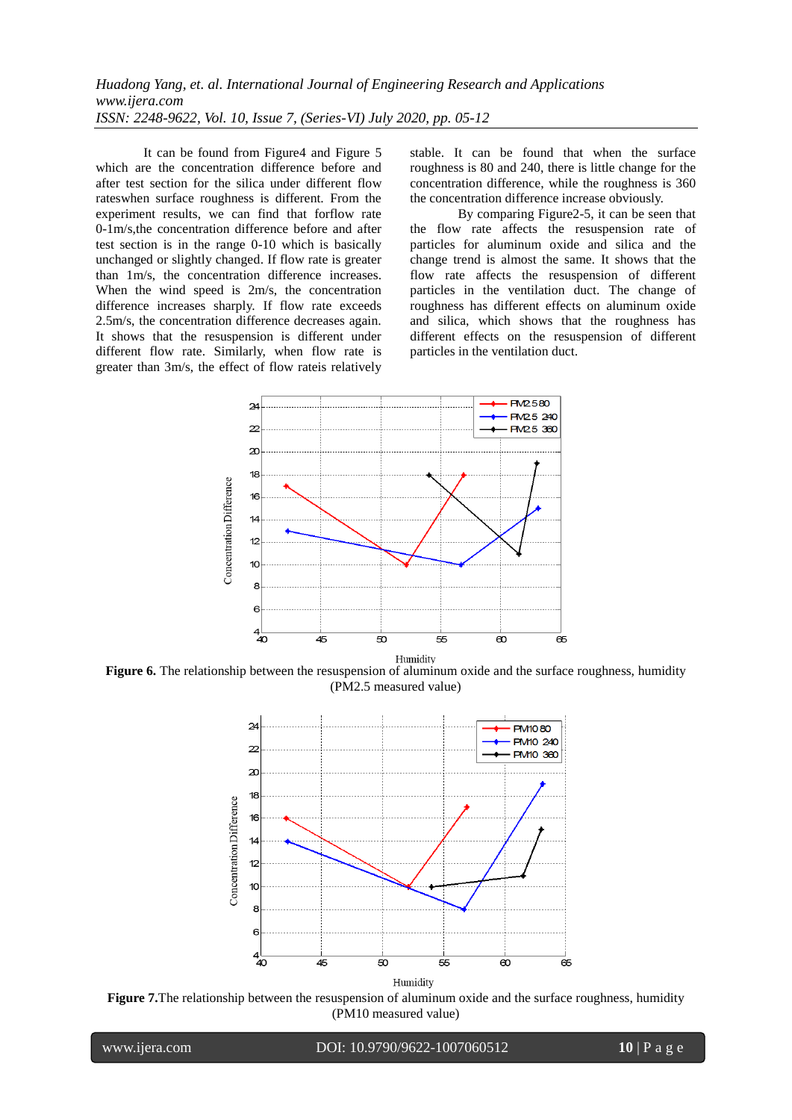It can be found from Figure4 and Figure 5 which are the concentration difference before and after test section for the silica under different flow rateswhen surface roughness is different. From the experiment results, we can find that forflow rate 0-1m/s,the concentration difference before and after test section is in the range 0-10 which is basically unchanged or slightly changed. If flow rate is greater than 1m/s, the concentration difference increases. When the wind speed is 2m/s, the concentration difference increases sharply. If flow rate exceeds 2.5m/s, the concentration difference decreases again. It shows that the resuspension is different under different flow rate. Similarly, when flow rate is greater than 3m/s, the effect of flow rateis relatively stable. It can be found that when the surface roughness is 80 and 240, there is little change for the concentration difference, while the roughness is 360 the concentration difference increase obviously.

By comparing Figure2-5, it can be seen that the flow rate affects the resuspension rate of particles for aluminum oxide and silica and the change trend is almost the same. It shows that the flow rate affects the resuspension of different particles in the ventilation duct. The change of roughness has different effects on aluminum oxide and silica, which shows that the roughness has different effects on the resuspension of different particles in the ventilation duct.



**Figure 6.** The relationship between the resuspension of aluminum oxide and the surface roughness, humidity (PM2.5 measured value)



**Figure 7.**The relationship between the resuspension of aluminum oxide and the surface roughness, humidity (PM10 measured value)

י

www.ijera.com DOI: 10.9790/9622-1007060512 **10** | P a g e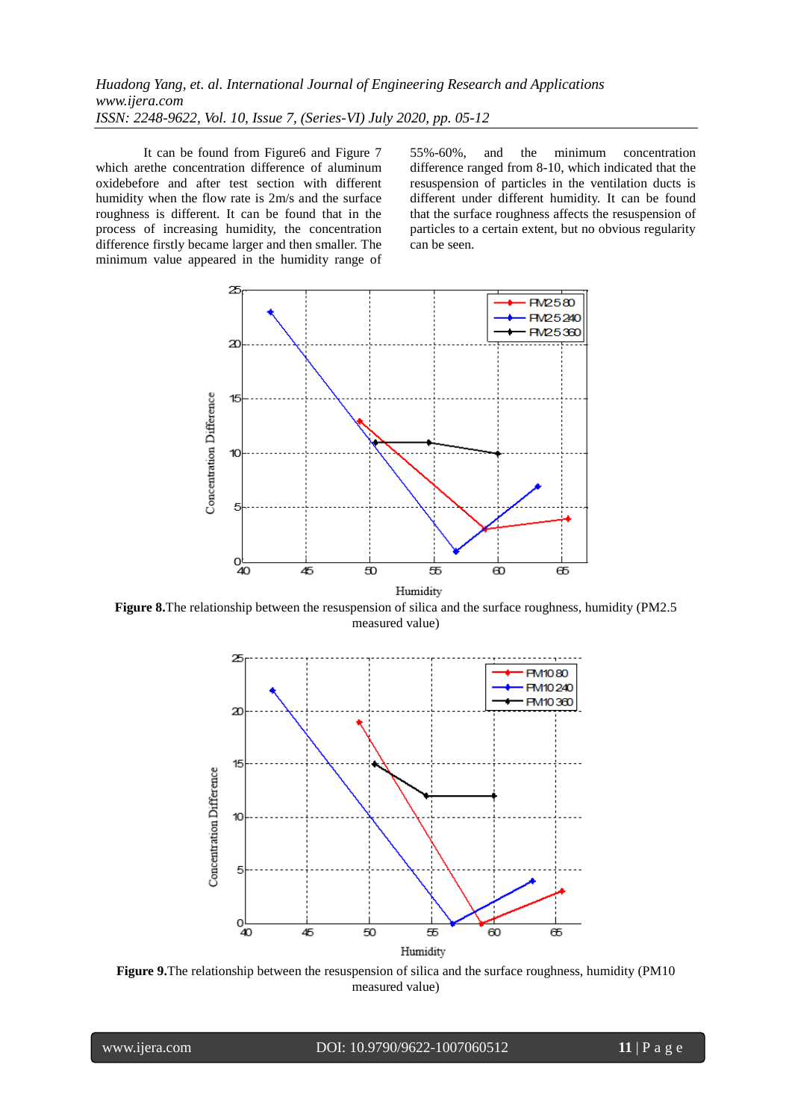It can be found from Figure6 and Figure 7 which arethe concentration difference of aluminum oxidebefore and after test section with different humidity when the flow rate is 2m/s and the surface roughness is different. It can be found that in the process of increasing humidity, the concentration difference firstly became larger and then smaller. The minimum value appeared in the humidity range of 55%-60%, and the minimum concentration difference ranged from 8-10, which indicated that the resuspension of particles in the ventilation ducts is different under different humidity. It can be found that the surface roughness affects the resuspension of particles to a certain extent, but no obvious regularity can be seen.



**Figure 8.**The relationship between the resuspension of silica and the surface roughness, humidity (PM2.5 measured value)



**Figure 9.**The relationship between the resuspension of silica and the surface roughness, humidity (PM10 measured value)